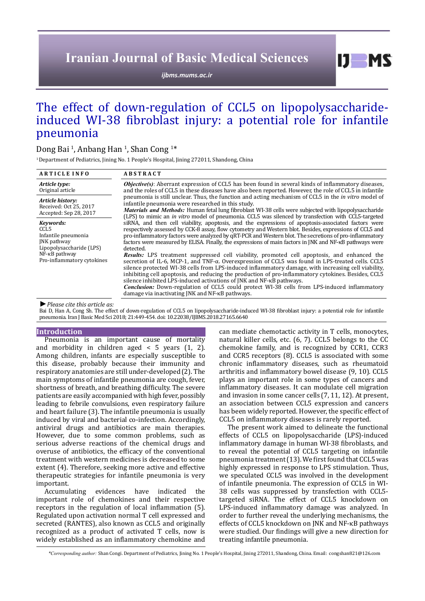# **Iranian Journal of Basic Medical Sciences**

*[ijbms.mums.ac.ir](http://ijbms.mums.ac.ir)*

## The effect of down-regulation of CCL5 on lipopolysaccharideinduced WI-38 fibroblast injury: a potential role for infantile pneumonia

## Dong Bai <sup>1</sup>, Anbang Han <sup>1</sup>, Shan Cong <sup>1\*</sup>

<sup>1</sup> Department of Pediatrics, Jining No. 1 People's Hospital, Jining 272011, Shandong, China

| <b>ARTICLE INFO</b>                                                                 | <b>ABSTRACT</b>                                                                                                                                                                                                                                                                                                                                                                                                                                                                                                                                                                                                                                                                                                                                                                                                                                                                                                                                                                                                                                                               |
|-------------------------------------------------------------------------------------|-------------------------------------------------------------------------------------------------------------------------------------------------------------------------------------------------------------------------------------------------------------------------------------------------------------------------------------------------------------------------------------------------------------------------------------------------------------------------------------------------------------------------------------------------------------------------------------------------------------------------------------------------------------------------------------------------------------------------------------------------------------------------------------------------------------------------------------------------------------------------------------------------------------------------------------------------------------------------------------------------------------------------------------------------------------------------------|
| Article type:<br>Original article                                                   | <b>Objective(s)</b> : Aberrant expression of CCL5 has been found in several kinds of inflammatory diseases,<br>and the roles of CCL5 in these diseases have also been reported. However, the role of CCL5 in infantile<br>pneumonia is still unclear. Thus, the function and acting mechanism of CCL5 in the <i>in vitro</i> model of<br>infantile pneumonia were researched in this study.<br><b>Materials and Methods:</b> Human fetal lung fibroblast WI-38 cells were subjected with lipopolysaccharide<br>(LPS) to mimic an <i>in vitro</i> model of pneumonia. CCL5 was silenced by transfection with CCL5-targeted<br>siRNA, and then cell viability, apoptosis, and the expressions of apoptosis-associated factors were<br>respectively assessed by CCK-8 assay, flow cytometry and Western blot. Besides, expressions of CCL5 and<br>pro-inflammatory factors were analyzed by qRT-PCR and Western blot. The secretions of pro-inflammatory<br>factors were measured by ELISA. Finally, the expressions of main factors in JNK and NF-KB pathways were<br>detected. |
| Article history:<br>Received: Oct 25, 2017<br>Accepted: Sep 28, 2017                |                                                                                                                                                                                                                                                                                                                                                                                                                                                                                                                                                                                                                                                                                                                                                                                                                                                                                                                                                                                                                                                                               |
| Kevwords:<br>CCL5<br>Infantile pneumonia<br>JNK pathway<br>Lipopolysaccharide (LPS) |                                                                                                                                                                                                                                                                                                                                                                                                                                                                                                                                                                                                                                                                                                                                                                                                                                                                                                                                                                                                                                                                               |
| NF-KB pathway<br>Pro-inflammatory cytokines                                         | <b>Results:</b> LPS treatment suppressed cell viability, promoted cell apoptosis, and enhanced the<br>secretion of IL-6, MCP-1, and TNF-α. Overexpression of CCL5 was found in LPS-treated cells. CCL5<br>silence protected WI-38 cells from LPS-induced inflammatory damage, with increasing cell viability,<br>inhibiting cell apoptosis, and reducing the production of pro-inflammatory cytokines. Besides, CCL5<br>silence inhibited LPS-induced activations of JNK and NF-KB pathways.<br><b>Conclusion:</b> Down-regulation of CCL5 could protect WI-38 cells from LPS-induced inflammatory<br>damage via inactivating JNK and NF-KB pathways.                                                                                                                                                                                                                                                                                                                                                                                                                         |
| $\blacktriangleright$ Please cite this article as:                                  |                                                                                                                                                                                                                                                                                                                                                                                                                                                                                                                                                                                                                                                                                                                                                                                                                                                                                                                                                                                                                                                                               |

Bai D, Han A, Cong Sh. The effect of down-regulation of CCL5 on lipopolysaccharide-induced WI-38 fibroblast injury: a potential role for infantile pneumonia. Iran J Basic Med Sci 2018; 21:449-454. doi: 10.22038/IJBMS.2018.27165.6640

#### **Introduction**

Pneumonia is an important cause of mortality and morbidity in children aged  $\lt$  5 years (1, 2). Among children, infants are especially susceptible to this disease, probably because their immunity and respiratory anatomies are still under-developed(2). The main symptoms of infantile pneumonia are cough, fever, shortness of breath, and breathing difficulty. The severe patients are easily accompanied with high fever, possibly leading to febrile convulsions, even respiratory failure and heart failure (3). The infantile pneumonia is usually induced by viral and bacterial co-infection. Accordingly, antiviral drugs and antibiotics are main therapies. However, due to some common problems, such as serious adverse reactions of the chemical drugs and overuse of antibiotics, the efficacy of the conventional treatment with western medicines is decreased to some extent (4). Therefore, seeking more active and effective therapeutic strategies for infantile pneumonia is very important.

Accumulating evidences have indicated the important role of chemokines and their respective receptors in the regulation of local inflammation (5). Regulated upon activation normal T cell expressed and secreted (RANTES), also known as CCL5 and originally recognized as a product of activated T cells, now is widely established as an inflammatory chemokine and can mediate chemotactic activity in T cells, monocytes, natural killer cells, etc. (6, 7). CCL5 belongs to the CC chemokine family, and is recognized by CCR1, CCR3 and CCR5 receptors (8). CCL5 is associated with some chronic inflammatory diseases, such as rheumatoid arthritis and inflammatory bowel disease (9, 10). CCL5 plays an important role in some types of cancers and inflammatory diseases. It can modulate cell migration and invasion in some cancer cells (7, 11, 12). At present, an association between CCL5 expression and cancers has been widely reported. However, the specific effect of CCL5 on inflammatory diseases is rarely reported.

 $I$   $I$   $M$   $S$ 

The present work aimed to delineate the functional effects of CCL5 on lipopolysaccharide (LPS)-induced inflammatory damage in human WI-38 fibroblasts, and to reveal the potential of CCL5 targeting on infantile pneumonia treatment (13). We first found that CCL5 was highly expressed in response to LPS stimulation. Thus, we speculated CCL5 was involved in the development of infantile pneumonia. The expression of CCL5 in WI-38 cells was suppressed by transfection with CCL5 targeted siRNA. The effect of CCL5 knockdown on LPS-induced inflammatory damage was analyzed. In order to further reveal the underlying mechanisms, the effects of CCL5 knockdown on JNK and NF-κB pathways were studied. Our findings will give a new direction for treating infantile pneumonia.

 *\*Corresponding author:* Shan Congi. Department of Pediatrics, Jining No. 1 People's Hospital, Jining 272011, Shandong, China. Email: congshan821@126.com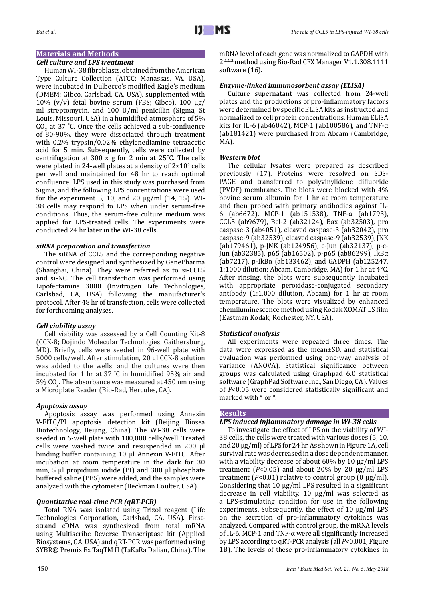## **Materials and Methods**

#### *Cell culture and LPS treatment*

Human WI-38 fibroblasts, obtained from the American Type Culture Collection (ATCC; Manassas, VA, USA), were incubated in Dulbecco's modified Eagle's medium (DMEM; Gibco, Carlsbad, CA, USA), supplemented with 10% (v/v) fetal bovine serum (FBS; Gibco), 100 μg/ ml streptomycin, and 100 U/ml penicillin (Sigma, St Louis, Missouri, USA) in a humidified atmosphere of 5%  $CO<sub>2</sub>$  at 37 °C. Once the cells achieved a sub-confluence of 80-90%, they were dissociated through treatment with 0.2% trypsin/0.02% ethylenediamine tetraacetic acid for 5 min. Subsequently, cells were collected by centrifugation at 300 x g for 2 min at 25°C. The cells were plated in 24-well plates at a density of  $2 \times 10^4$  cells per well and maintained for 48 hr to reach optimal confluence. LPS used in this study was purchased from Sigma, and the following LPS concentrations were used for the experiment 5, 10, and 20  $\mu$ g/ml (14, 15). WI-38 cells may respond to LPS when under serum-free conditions. Thus, the serum-free culture medium was applied for LPS-treated cells. The experiments were conducted 24 hr later in the WI-38 cells.

#### *siRNA preparation and transfection*

The siRNA of CCL5 and the corresponding negative control were designed and synthesized by GenePharma (Shanghai, China). They were referred as to si-CCL5 and si-NC. The cell transfection was performed using Lipofectamine 3000 (Invitrogen Life Technologies, Carlsbad, CA, USA) following the manufacturer's protocol. After 48 hr of transfection, cells were collected for forthcoming analyses.

## *Cell viability assay*

Cell viability was assessed by a Cell Counting Kit-8 (CCK-8; Dojindo Molecular Technologies, Gaithersburg, MD). Briefly, cells were seeded in 96-well plate with 5000 cells/well. After stimulation, 20 μl CCK-8 solution was added to the wells, and the cultures were then incubated for 1 hr at 37 ° C in humidified 95% air and  $5\%$  CO<sub>2</sub>. The absorbance was measured at 450 nm using a Microplate Reader (Bio-Rad, Hercules, CA).

## *Apoptosis assay*

Apoptosis assay was performed using Annexin V-FITC/PI apoptosis detection kit (Beijing Biosea Biotechnology, Beijing, China). The WI-38 cells were seeded in 6-well plate with 100,000 cells/well. Treated cells were washed twice and resuspended in 200 μl binding buffer containing 10 μl Annexin V-FITC. After incubation at room temperature in the dark for 30 min, 5 μl propidium iodide (PI) and 300 μl phosphate buffered saline (PBS) were added, and the samples were analyzed with the cytometer (Beckman Coulter, USA).

## *Quantitative real-time PCR (qRT-PCR)*

Total RNA was isolated using Trizol reagent (Life Technologies Corporation, Carlsbad, CA, USA). Firststrand cDNA was synthesized from total mRNA using Multiscribe Reverse Transcriptase kit (Applied Biosystems, CA, USA) and qRT-PCR was performed using SYBR® Premix Ex TaqTM II (TaKaRa Dalian, China). The mRNA level of each gene was normalized to GAPDH with 2-ΔΔCt method using Bio-Rad CFX Manager V1.1.308.1111 software (16).

## *Enzyme-linked immunosorbent assay (ELISA)*

Culture supernatant was collected from 24-well plates and the productions of pro-inflammatory factors were determined by specific ELISA kits as instructed and normalized to cell protein concentrations. Human ELISA kits for IL-6 (ab46042), MCP-1 (ab100586), and TNF- $α$ (ab181421) were purchased from Abcam (Cambridge, MA).

#### *Western blot*

The cellular lysates were prepared as described previously (17). Proteins were resolved on SDS-PAGE and transferred to polyvinylidene difluoride (PVDF) membranes. The blots were blocked with 4% bovine serum albumin for 1 hr at room temperature and then probed with primary antibodies against IL-6 (ab6672), MCP-1 (ab151538), TNF-α (ab1793), CCL5 (ab9679), Bcl-2 (ab32124), Bax (ab32503), pro caspase-3 (ab4051), cleaved caspase-3 (ab32042), pro caspase-9 (ab32539), cleaved caspase-9 (ab32539), JNK (ab179461), p-JNK (ab124956), c-Jun (ab32137), p-c-Jun (ab32385), p65 (ab16502), p-p65 (ab86299), IkBα (ab7217), p-IkBα (ab133462), and GADPH (ab125247, 1:1000 dilution; Abcam, Cambridge, MA) for 1 hr at 4°C. After rinsing, the blots were subsequently incubated with appropriate peroxidase-conjugated secondary antibody (1:1,000 dilution, Abcam) for 1 hr at room temperature. The blots were visualized by enhanced chemiluminescence method using Kodak XOMAT LS film (Eastman Kodak, Rochester, NY, USA).

## *Statistical analysis*

All experiments were repeated three times. The data were expressed as the mean±SD, and statistical evaluation was performed using one-way analysis of variance (ANOVA). Statistical significance between groups was calculated using Graphpad 6.0 statistical software (GraphPad Software Inc., San Diego, CA). Values of *P*<0.05 were considered statistically significant and marked with \* or #.

## **Results**

## *LPS induced inflammatory damage in WI-38 cells*

To investigate the effect of LPS on the viability of WI-38 cells, the cells were treated with various doses (5, 10, and 20 μg/ml) of LPS for 24 hr. As shown in Figure 1A, cell survival rate was decreased in a dose dependent manner, with a viability decrease of about 60% by 10 μg/ml LPS treatment (*P*<0.05) and about 20% by 20 μg/ml LPS treatment (*P*<0.01) relative to control group (0 μg/ml). Considering that 10 μg/ml LPS resulted in a significant decrease in cell viability, 10 μg/ml was selected as a LPS-stimulating condition for use in the following experiments. Subsequently, the effect of 10 μg/ml LPS on the secretion of pro-inflammatory cytokines was analyzed. Compared with control group, the mRNA levels of IL-6, MCP-1 and TNF-α were all significantly increased by LPS according to qRT-PCR analysis (all *P*<0.001, Figure 1B). The levels of these pro-inflammatory cytokines in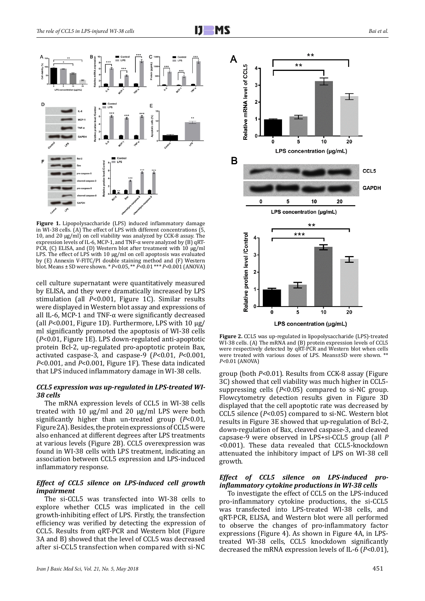

**Figure 1.** Lipopolysaccharide (LPS) induced inflammatory damage in WI-38 cells. (A) The effect of LPS with different concentrations (5, 10, and 20 μg/ml) on cell viability was analyzed by CCK-8 assay. The expression levels of IL-6, MCP-1, and TNF-α were analyzed by (B) qRT-PCR, (C) ELISA, and (D) Western blot after treatment with 10 μg/ml LPS. The effect of LPS with 10 μg/ml on cell apoptosis was evaluated by (E) Annexin V-FITC/PI double staining method and (F) Western blot. Means ± SD were shown. \* *P<*0.05, \*\* *P<*0.01 \*\*\* *P<*0.001 (ANOVA)

cell culture supernatant were quantitatively measured by ELISA, and they were dramatically increased by LPS stimulation (all *P*<0.001, Figure 1C). Similar results were displayed in Western blot assay and expressions of all IL-6, MCP-1 and TNF- $\alpha$  were significantly decreased (all *P*<0.001, Figure 1D). Furthermore, LPS with 10 μg/ ml significantly promoted the apoptosis of WI-38 cells (*P*<0.01, Figure 1E). LPS down-regulated anti-apoptotic protein Bcl-2, up-regulated pro-apoptotic protein Bax, activated caspase-3, and caspase-9 (*P*<0.01, *P*<0.001, *P*<0.001, and *P*<0.001, Figure 1F). These data indicated that LPS induced inflammatory damage in WI-38 cells.

#### *CCL5 expression was up-regulated in LPS-treated WI-38 cells*

The mRNA expression levels of CCL5 in WI-38 cells treated with 10 μg/ml and 20 μg/ml LPS were both significantly higher than un-treated group (*P*<0.01, Figure 2A). Besides, the protein expressions of CCL5 were also enhanced at different degrees after LPS treatments at various levels (Figure 2B). CCL5 overexpression was found in WI-38 cells with LPS treatment, indicating an association between CCL5 expression and LPS-induced inflammatory response.

#### *Effect of CCL5 silence on LPS-induced cell growth impairment*

The si-CCL5 was transfected into WI-38 cells to explore whether CCL5 was implicated in the cell growth-inhibiting effect of LPS. Firstly, the transfection efficiency was verified by detecting the expression of CCL5. Results from qRT-PCR and Western blot (Figure 3A and B) showed that the level of CCL5 was decreased after si-CCL5 transfection when compared with si-NC



**Figure 2.** CCL5 was up-regulated in lipopolysaccharide (LPS)-treated WI-38 cells. (A) The mRNA and (B) protein expression levels of CCL5 were respectively detected by qRT-PCR and Western blot when cells were treated with various doses of LPS. Means±SD were shown. \*\* *P<*0.01 (ANOVA)

group (both *P*<0.01). Results from CCK-8 assay (Figure 3C) showed that cell viability was much higher in CCL5 suppressing cells (*P*<0.05) compared to si-NC group. Flowcytometry detection results given in Figure 3D displayed that the cell apoptotic rate was decreased by CCL5 silence (*P*<0.05) compared to si-NC. Western blot results in Figure 3E showed that up-regulation of Bcl-2, down-regulation of Bax, cleaved caspase-3, and cleaved capsase-9 were observed in LPS+si-CCL5 group (all *P <*0.001). These data revealed that CCL5-knockdown attenuated the inhibitory impact of LPS on WI-38 cell growth.

#### *Effect of CCL5 silence on LPS-induced proinflammatory cytokine productions in WI-38 cells*

To investigate the effect of CCL5 on the LPS-induced pro-inflammatory cytokine productions, the si-CCL5 was transfected into LPS-treated WI-38 cells, and qRT-PCR, ELISA, and Western blot were all performed to observe the changes of pro-inflammatory factor expressions (Figure 4). As shown in Figure 4A, in LPStreated WI-38 cells, CCL5 knockdown significantly decreased the mRNA expression levels of IL-6 (*P*<0.01),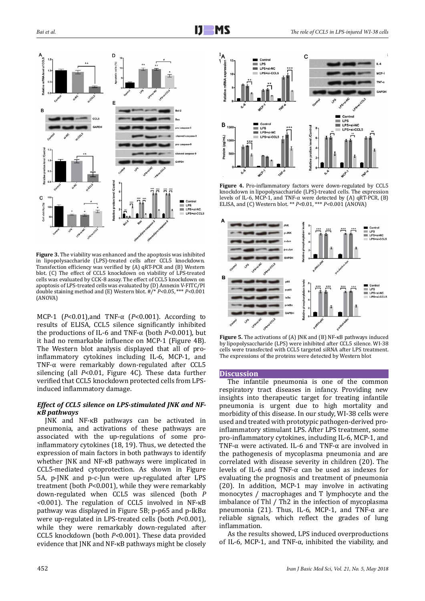

**Figure 3.** The viability was enhanced and the apoptosis was inhibited in lipopolysaccharide (LPS)-treated cells after CCL5 knockdown. Transfection efficiency was verified by (A) qRT-PCR and (B) Western blot. (C) The effect of CCL5 knockdown on viability of LPS-treated cells was evaluated by CCK-8 assay. The effect of CCL5 knockdown on apoptosis of LPS-treated cells was evaluated by (D) Annexin V-FITC/PI double staining method and (E) Western blot. #/\* *P<*0.05, \*\*\* *P<*0.001 (ANOVA)

MCP-1 (*P*<0.01),and TNF-α (*P*<0.001). According to results of ELISA, CCL5 silence significantly inhibited the productions of IL-6 and TNF-α (both *P*<0.001), but it had no remarkable influence on MCP-1 (Figure 4B). The Western blot analysis displayed that all of proinflammatory cytokines including IL-6, MCP-1, and TNF-α were remarkably down-regulated after CCL5 silencing (all *P*<0.01, Figure 4C). These data further verified that CCL5 knockdown protected cells from LPSinduced inflammatory damage.

#### *Effect of CCL5 silence on LPS-stimulated JNK and NFκB pathways*

JNK and NF-κB pathways can be activated in pneumonia, and activations of these pathways are associated with the up-regulations of some proinflammatory cytokines (18, 19). Thus, we detected the expression of main factors in both pathways to identify whether JNK and NF-κB pathways were implicated in CCL5-mediated cytoprotection. As shown in Figure 5A, p-JNK and p-c-Jun were up-regulated after LPS treatment (both *P*<0.001), while they were remarkably down-regulated when CCL5 was silenced (both *P <*0.001). The regulation of CCL5 involved in NF-κB pathway was displayed in Figure 5B; p-p65 and p-IkBα were up-regulated in LPS-treated cells (both *P*<0.001), while they were remarkably down-regulated after CCL5 knockdown (both *P<*0.001). These data provided evidence that JNK and NF-κB pathways might be closely



**Figure 4.** Pro-inflammatory factors were down-regulated by CCL5 knockdown in lipopolysaccharide (LPS)-treated cells. The expression levels of IL-6, MCP-1, and TNF- $\alpha$  were detected by (A) qRT-PCR, (B) ELISA, and (C) Western blot. \*\* *P<*0.01, \*\*\* *P<*0.001 (ANOVA)



**Figure 5.** The activations of (A) JNK and (B) NF-κB pathways induced by lipopolysaccharide (LPS) were inhibited after CCL5 silence. WI-38 cells were transfected with CCL5 targeted siRNA after LPS treatment. The expressions of the proteins were detected by Western blot

#### **Discussion**

The infantile pneumonia is one of the common respiratory tract diseases in infancy. Providing new insights into therapeutic target for treating infantile pneumonia is urgent due to high mortality and morbidity of this disease. In our study, WI-38 cells were used and treated with prototypic pathogen-derived proinflammatory stimulant LPS. After LPS treatment, some pro-inflammatory cytokines, including IL-6, MCP-1, and TNF- $\alpha$  were activated. IL-6 and TNF- $\alpha$  are involved in the pathogenesis of mycoplasma pneumonia and are correlated with disease severity in children (20). The levels of IL-6 and TNF-α can be used as indexes for evaluating the prognosis and treatment of pneumonia (20). In addition, MCP-1 may involve in activating monocytes / macrophages and T lymphocyte and the imbalance of Thl / Th2 in the infection of mycoplasma pneumonia (21). Thus, IL-6, MCP-1, and TNF- $\alpha$  are reliable signals, which reflect the grades of lung inflammation.

As the results showed, LPS induced overproductions of IL-6, MCP-1, and TNF- $\alpha$ , inhibited the viability, and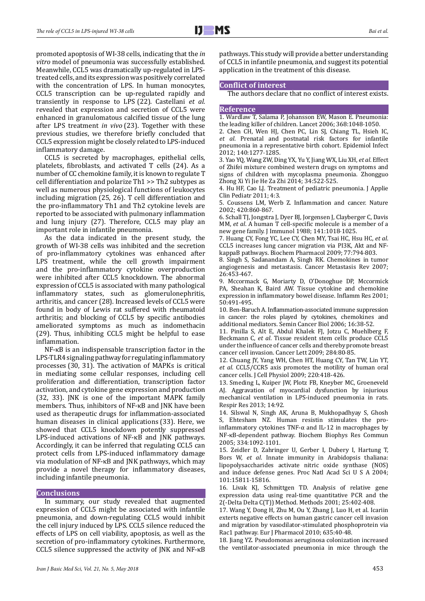promoted apoptosis of WI-38 cells, indicating that the *in vitro* model of pneumonia was successfully established. Meanwhile, CCL5 was dramatically up-regulated in LPStreated cells, and its expression was positively correlated with the concentration of LPS. In human monocytes, CCL5 transcription can be up-regulated rapidly and transiently in response to LPS (22). Castellani *et al.* revealed that expression and secretion of CCL5 were enhanced in granulomatous calcified tissue of the lung after LPS treatment *in vivo* (23). Together with these previous studies, we therefore briefly concluded that CCL5 expression might be closely related to LPS-induced inflammatory damage.

CCL5 is secreted by macrophages, epithelial cells, platelets, fibroblasts, and activated T cells (24). As a number of CC chemokine family, it is known to regulate T cell differentiation and polarize Th1 >> Th2 subtypes as well as numerous physiological functions of leukocytes including migration (25, 26). T cell differentiation and the pro-inflammatory Th1 and Th2 cytokine levels are reported to be associated with pulmonary inflammation and lung injury (27). Therefore, CCL5 may play an important role in infantile pneumonia.

As the data indicated in the present study, the growth of WI-38 cells was inhibited and the secretion of pro-inflammatory cytokines was enhanced after LPS treatment, while the cell growth impairment and the pro-inflammatory cytokine overproduction were inhibited after CCL5 knockdown. The abnormal expression of CCL5 is associated with many pathological inflammatory states, such as glomerulonephritis, arthritis, and cancer (28). Increased levels of CCL5 were found in body of Lewis rat suffered with rheumatoid arthritis; and blocking of CCL5 by specific antibodies ameliorated symptoms as much as indomethacin (29). Thus, inhibiting CCL5 might be helpful to ease inflammation.

NF-κB is an indispensable transcription factor in the LPS-TLR4 signaling pathway for regulating inflammatory processes (30, 31). The activation of MAPKs is critical in mediating some cellular responses, including cell proliferation and differentiation, transcription factor activation, and cytokine gene expression and production (32, 33). JNK is one of the important MAPK family members. Thus, inhibitors of NF-κB and JNK have been used as therapeutic drugs for inflammation-associated human diseases in clinical applications (33). Here, we showed that CCL5 knockdown potently suppressed LPS-induced activations of NF-κB and JNK pathways. Accordingly, it can be inferred that regulating CCL5 can protect cells from LPS-induced inflammatory damage via modulation of NF-κB and JNK pathways, which may provide a novel therapy for inflammatory diseases, including infantile pneumonia.

#### **Conclusions**

In summary, our study revealed that augmented expression of CCL5 might be associated with infantile pneumonia, and down-regulating CCL5 would inhibit the cell injury induced by LPS. CCL5 silence reduced the effects of LPS on cell viability, apoptosis, as well as the secretion of pro-inflammatory cytokines. Furthermore, CCL5 silence suppressed the activity of JNK and NF-κB pathways. This study will provide a better understanding of CCL5 in infantile pneumonia, and suggest its potential application in the treatment of this disease.

#### **Conflict of interest**

The authors declare that no conflict of interest exists.

#### **Reference**

1. Wardlaw T, Salama P, Johansson EW, Mason E. Pneumonia: the leading killer of children. Lancet 2006;  $368:1048-1050$ .

2. Chen CH, Wen HJ, Chen PC, Lin SJ, Chiang TL, Hsieh IC, *et al*. Prenatal and postnatal risk factors for infantile pneumonia in a representative birth cohort. Epidemiol Infect 2012; 140:1277˗1285.

3. Yao YQ, Wang ZW, Ding YX, Yu Y, Jiang WX, Liu XH, *et al*. Effect of Zhifei mixture combined western drugs on symptoms and signs of children with mycoplasma pneumonia. Zhongguo Zhong Xi Yi Jie He Za Zhi 2014; 34:522-525.

4. Hu HF, Cao LJ. Treatment of pediatric pneumonia. J Applie Clin Pediatr 2011; 4:3.

5. Coussens LM, Werb Z. Inflammation and cancer. Nature 2002; 420:860-867.

6. Schall TJ, Jongstra J, Dyer BJ, Jorgensen J, Clayberger C, Davis MM, *et al*. A human T cell-specific molecule is a member of a new gene family. J Immunol 1988; 141:1018-1025.

7. Huang CY, Fong YC, Lee CY, Chen MY, Tsai HC, Hsu HC, *et al*. CCL5 increases lung cancer migration via PI3K, Akt and NFkappaB pathways. Biochem Pharmacol 2009; 77:794-803.

8. Singh S, Sadanandam A, Singh RK. Chemokines in tumor angiogenesis and metastasis. Cancer Metastasis Rev 2007; 26:453˗467.

9. Mccormack G, Moriarty D, O'Donoghue DP, Mccormick PA, Sheahan K, Baird AW. Tissue cytokine and chemokine expression in inflammatory bowel disease. Inflamm Res 2001; 50:491-495.

10. Ben-Baruch A. Inflammation-associated immune suppression in cancer: the roles played by cytokines, chemokines and additional mediators. Semin Cancer Biol 2006; 16:38-52.

11. Pinilla S, Alt E, Abdul Khalek FJ, Jotzu C, Muehlberg F, Beckmann C, *et al*. Tissue resident stem cells produce CCL5 under the influence of cancer cells and thereby promote breast cancer cell invasion. Cancer Lett 2009; 284:80-85.

12. Chuang JY, Yang WH, Chen HT, Huang CY, Tan TW, Lin YT, *et al*. CCL5/CCR5 axis promotes the motility of human oral cancer cells. J Cell Physiol 2009; 220:418-426.

13. Smeding L, Kuiper JW, Plotz FB, Kneyber MC, Groeneveld AJ. Aggravation of myocardial dysfunction by injurious mechanical ventilation in LPS-induced pneumonia in rats. Respir Res 2013; 14:92.

14. Silswal N, Singh AK, Aruna B, Mukhopadhyay S, Ghosh S, Ehtesham NZ. Human resistin stimulates the proinflammatory cytokines TNF- $\alpha$  and IL-12 in macrophages by NF-κB-dependent pathway. Biochem Biophys Res Commun 2005; 334:1092˗1101.

15. Zeidler D, Zahringer U, Gerber I, Dubery I, Hartung T, Bors W, *et al*. Innate immunity in Arabidopsis thaliana: lipopolysaccharides activate nitric oxide synthase (NOS) and induce defense genes. Proc Natl Acad Sci U S A 2004; 101:15811-15816.

16. Livak KJ, Schmittgen TD. Analysis of relative gene expression data using real-time quantitative PCR and the 2(-Delta Delta C(T)) Method. Methods 2001; 25:402-408.

17. Wang Y, Dong H, Zhu M, Ou Y, Zhang J, Luo H, et al. Icariin exterts negative effects on human gastric cancer cell invasion and migration by vasodilator-stimulated phosphoprotein via Rac1 pathway. Eur J Pharmacol 2010; 635:40-48.

18. Jiang YZ. Pseudomonas aeruginosa colonization increased the ventilator-associated pneumonia in mice through the